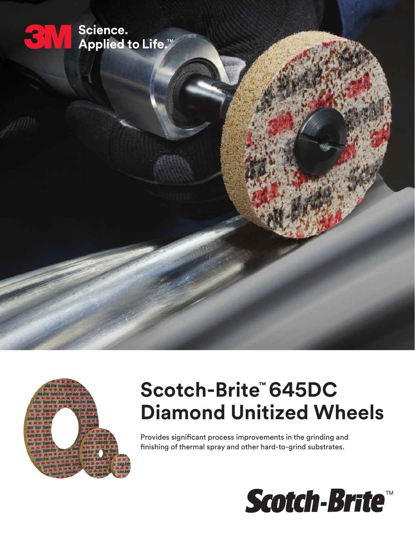



# **Scotch-Brite™ 645DC Diamond Unitized Wheels**

Provides significant process improvements in the grinding and finishing of thermal spray and other hard-to-grind substrates.